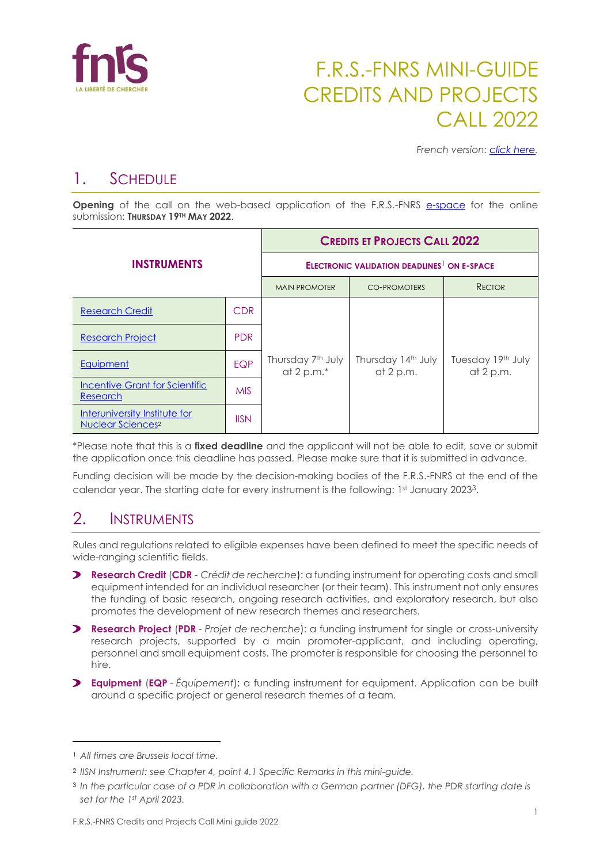

# F.R.S.-FNRS MINI-GUIDE CREDITS AND PROJECTS CALL 2022

*French version: [click here.](https://www.frs-fnrs.be/docs/Reglement-et-documents/FRS-FNRS_MiniGuide2022_Credits_FR.pdf)*

## 1. SCHEDULE

**Opening** of the call on the web-based application of the F.R.S.-FNRS [e-space](https://e-space.frs-fnrs.be/) for the online submission: **THURSDAY 19TH MAY 2022**.

| <b>INSTRUMENTS</b>                                                   |             | <b>CREDITS ET PROJECTS CALL 2022</b>                          |                                   |                                |  |
|----------------------------------------------------------------------|-------------|---------------------------------------------------------------|-----------------------------------|--------------------------------|--|
|                                                                      |             | <b>ELECTRONIC VALIDATION DEADLINES<sup>1</sup> ON E-SPACE</b> |                                   |                                |  |
|                                                                      |             | <b>MAIN PROMOTER</b>                                          | <b>CO-PROMOTERS</b>               | <b>RECTOR</b>                  |  |
| <b>Research Credit</b>                                               | <b>CDR</b>  |                                                               | Thursday 14th July<br>at $2 p.m.$ | Tuesday 19th July<br>at 2 p.m. |  |
| <b>Research Project</b>                                              | <b>PDR</b>  |                                                               |                                   |                                |  |
| Equipment                                                            | <b>EQP</b>  | Thursday 7th July<br>at $2 p.m.*$                             |                                   |                                |  |
| <b>Incentive Grant for Scientific</b><br><b>Research</b>             | <b>MIS</b>  |                                                               |                                   |                                |  |
| Interuniversity Institute for<br><b>Nuclear Sciences<sup>2</sup></b> | <b>IISN</b> |                                                               |                                   |                                |  |

\*Please note that this is a **fixed deadline** and the applicant will not be able to edit, save or submit the application once this deadline has passed. Please make sure that it is submitted in advance.

Funding decision will be made by the decision-making bodies of the F.R.S.-FNRS at the end of the calendar year. The starting date for every instrument is the following:  $1st$  January 2023<sup>3</sup>.

## 2. INSTRUMENTS

Rules and regulations related to eligible expenses have been defined to meet the specific needs of wide-ranging scientific fields.

- **Research Credit** (**CDR** *- Crédit de recherche*): a funding instrument for operating costs and small equipment intended for an individual researcher (or their team). This instrument not only ensures the funding of basic research, ongoing research activities, and exploratory research, but also promotes the development of new research themes and researchers.
- **Research Project** (**PDR** *- Projet de recherche*): a funding instrument for single or cross-university research projects, supported by a main promoter-applicant, and including operating, personnel and small equipment costs. The promoter is responsible for choosing the personnel to hire.
- **Equipment** (**EQP** *- Équipement*): a funding instrument for equipment. Application can be built around a specific project or general research themes of a team.

<sup>1</sup> *All times are Brussels local time.*

<sup>2</sup> *IISN Instrument: see Chapter 4, point 4.1 Specific Remarks in this mini-guide.*

<sup>&</sup>lt;sup>3</sup> In the particular case of a PDR in collaboration with a German partner (DFG), the PDR starting date is *set for the 1st April 2023.*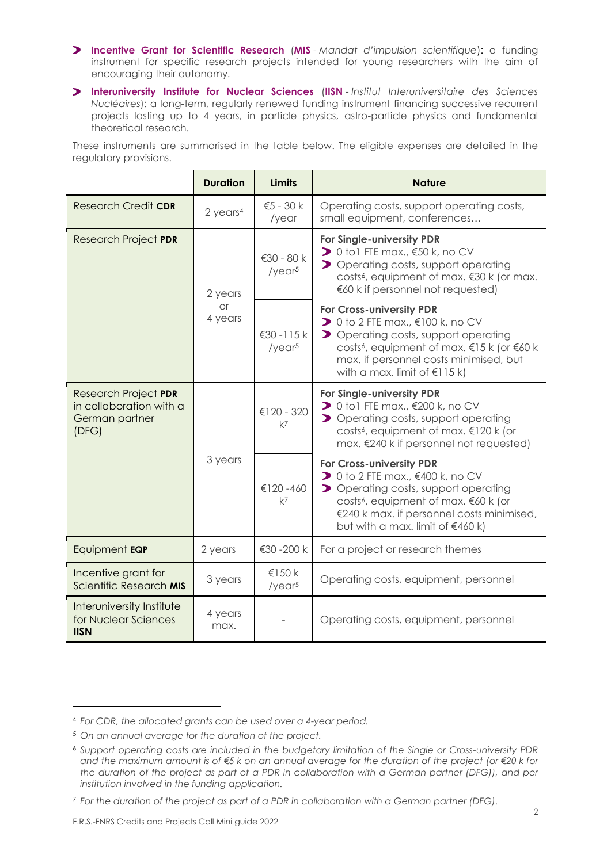- **Incentive Grant for Scientific Research** (**MIS** *Mandat d'impulsion scientifique*): a funding instrument for specific research projects intended for young researchers with the aim of encouraging their autonomy.
- **Interuniversity Institute for Nuclear Sciences** (**IISN** *Institut Interuniversitaire des Sciences Nucléaires*): a long-term, regularly renewed funding instrument financing successive recurrent projects lasting up to 4 years, in particle physics, astro-particle physics and fundamental theoretical research.

These instruments are summarised in the table below. The eligible expenses are detailed in the regulatory provisions.

|                                                                                   | <b>Duration</b>        | <b>Limits</b>                    | <b>Nature</b>                                                                                                                                                                                                                                                                  |
|-----------------------------------------------------------------------------------|------------------------|----------------------------------|--------------------------------------------------------------------------------------------------------------------------------------------------------------------------------------------------------------------------------------------------------------------------------|
| <b>Research Credit CDR</b>                                                        | $2$ years <sup>4</sup> | $€5 - 30 k$<br>/year             | Operating costs, support operating costs,<br>small equipment, conferences                                                                                                                                                                                                      |
| <b>Research Project PDR</b>                                                       | 2 years                | €30 - 80 k<br>/year <sup>5</sup> | For Single-university PDR<br>$\triangleright$ 0 to 1 FTE max., $\epsilon$ 50 k, no CV<br>> Operating costs, support operating<br>costs <sup>6</sup> , equipment of max. €30 k (or max.<br>€60 k if personnel not requested)                                                    |
|                                                                                   | <b>or</b><br>4 years   | €30 -115 k<br>/year <sup>5</sup> | For Cross-university PDR<br>$\triangleright$ 0 to 2 FTE max., $\in$ 100 k, no CV<br>> Operating costs, support operating<br>costs <sup>6</sup> , equipment of max. €15 k (or €60 k<br>max. if personnel costs minimised, but<br>with a max. limit of $\leq 115$ k)             |
| <b>Research Project PDR</b><br>in collaboration with a<br>German partner<br>(DFG) |                        | €120 - 320<br>$k^7$              | For Single-university PDR<br>$\triangleright$ 0 to 1 FTE max., $\epsilon$ 200 k, no CV<br>> Operating costs, support operating<br>costs <sup>6</sup> , equipment of max. €120 k (or<br>max. €240 k if personnel not requested)                                                 |
|                                                                                   | 3 years                | €120-460<br>$k^7$                | <b>For Cross-university PDR</b><br>$\triangleright$ 0 to 2 FTE max., $\epsilon$ 400 k, no CV<br>> Operating costs, support operating<br>costs <sup>6</sup> , equipment of max. €60 k (or<br>€240 k max. if personnel costs minimised,<br>but with a max. limit of $\in$ 460 k) |
| Equipment EQP                                                                     | 2 years                | €30 -200 k                       | For a project or research themes                                                                                                                                                                                                                                               |
| Incentive grant for<br>Scientific Research MIS                                    | 3 years                | €150 k<br>/year <sup>5</sup>     | Operating costs, equipment, personnel                                                                                                                                                                                                                                          |
| Interuniversity Institute<br>for Nuclear Sciences<br><b>IISN</b>                  | 4 years<br>max.        |                                  | Operating costs, equipment, personnel                                                                                                                                                                                                                                          |

<sup>4</sup> *For CDR, the allocated grants can be used over a 4-year period.*

<sup>5</sup> *On an annual average for the duration of the project.*

<sup>6</sup> *Support operating costs are included in the budgetary limitation of the Single or Cross-university PDR and the maximum amount is of €5 k on an annual average for the duration of the project (or €20 k for the duration of the project as part of a PDR in collaboration with a German partner (DFG)), and per institution involved in the funding application.*

<sup>7</sup> *For the duration of the project as part of a PDR in collaboration with a German partner (DFG).*

F.R.S.-FNRS Credits and Projects Call Mini guide 2022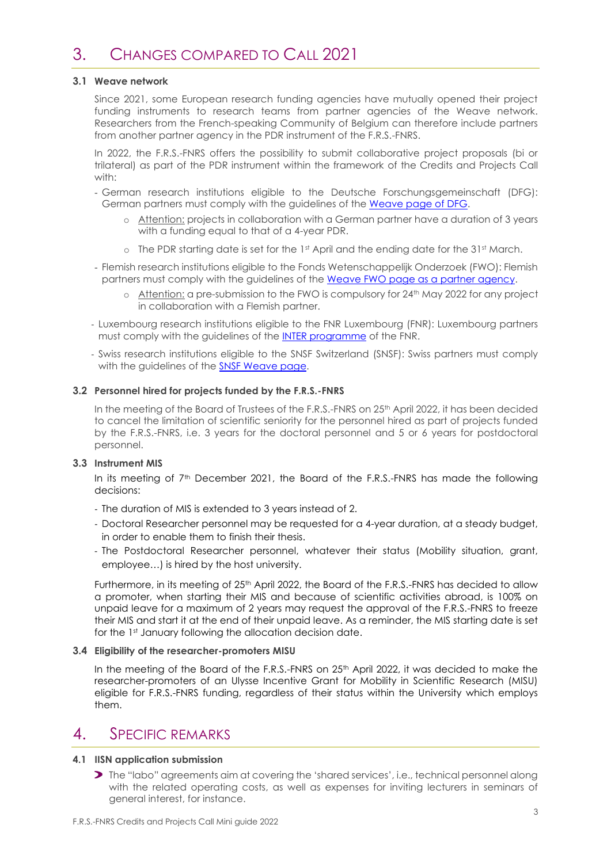#### **3.1 Weave network**

Since 2021, some European research funding agencies have mutually opened their project funding instruments to research teams from partner agencies of the Weave network. Researchers from the French-speaking Community of Belgium can therefore include partners from another partner agency in the PDR instrument of the F.R.S.-FNRS.

In 2022, the F.R.S.-FNRS offers the possibility to submit collaborative project proposals (bi or trilateral) as part of the PDR instrument within the framework of the Credits and Projects Call with:

- German research institutions eligible to the Deutsche Forschungsgemeinschaft (DFG): German partners must comply with the guidelines of the [Weave page of DFG.](https://www.dfg.de/en/research_funding/programmes/international_cooperation/joint_proposal_weave_process/index.html)
	- o Attention: projects in collaboration with a German partner have a duration of 3 years with a funding equal to that of a 4-year PDR.
	- $\circ$  The PDR starting date is set for the 1st April and the ending date for the 31st March.
- Flemish research institutions eligible to the Fonds Wetenschappelijk Onderzoek (FWO): Flemish partners must comply with the guidelines of the [Weave FWO page as a partner agency.](https://www.fwo.be/en/fellowships-funding/international-collaboration/intra-european-research-projects/weave/weave-fwo-partner)
	- $\circ$  Attention: a pre-submission to the FWO is compulsory for 24<sup>th</sup> May 2022 for any project in collaboration with a Flemish partner.
- Luxembourg research institutions eligible to the FNR Luxembourg (FNR): Luxembourg partners must comply with the guidelines of the [INTER programme](https://www.fnr.lu/funding-instruments/inter/) of the FNR.
- Swiss research institutions eligible to the SNSF Switzerland (SNSF): Swiss partners must comply with the quidelines of the [SNSF Weave page.](http://www.snf.ch/fr/encouragement/projets/weave-lead-agency/weave/Pages/default.aspx)

#### **3.2 Personnel hired for projects funded by the F.R.S.-FNRS**

In the meeting of the Board of Trustees of the F.R.S.-FNRS on 25<sup>th</sup> April 2022, it has been decided to cancel the limitation of scientific seniority for the personnel hired as part of projects funded by the F.R.S.-FNRS, i.e. 3 years for the doctoral personnel and 5 or 6 years for postdoctoral personnel.

#### **3.3 Instrument MIS**

In its meeting of  $7<sup>th</sup>$  December 2021, the Board of the F.R.S.-FNRS has made the following decisions:

- The duration of MIS is extended to 3 years instead of 2.
- Doctoral Researcher personnel may be requested for a 4-year duration, at a steady budget, in order to enable them to finish their thesis.
- The Postdoctoral Researcher personnel, whatever their status (Mobility situation, grant, employee…) is hired by the host university.

Furthermore, in its meeting of 25<sup>th</sup> April 2022, the Board of the F.R.S.-FNRS has decided to allow a promoter, when starting their MIS and because of scientific activities abroad, is 100% on unpaid leave for a maximum of 2 years may request the approval of the F.R.S.-FNRS to freeze their MIS and start it at the end of their unpaid leave. As a reminder, the MIS starting date is set for the 1st January following the allocation decision date.

#### **3.4 Eligibility of the researcher-promoters MISU**

In the meeting of the Board of the F.R.S.-FNRS on  $25<sup>th</sup>$  April 2022, it was decided to make the researcher-promoters of an Ulysse Incentive Grant for Mobility in Scientific Research (MISU) eligible for F.R.S.-FNRS funding, regardless of their status within the University which employs them.

## 4. SPECIFIC REMARKS

#### **4.1 IISN application submission**

The "labo" agreements aim at covering the 'shared services', i.e., technical personnel along with the related operating costs, as well as expenses for inviting lecturers in seminars of general interest, for instance.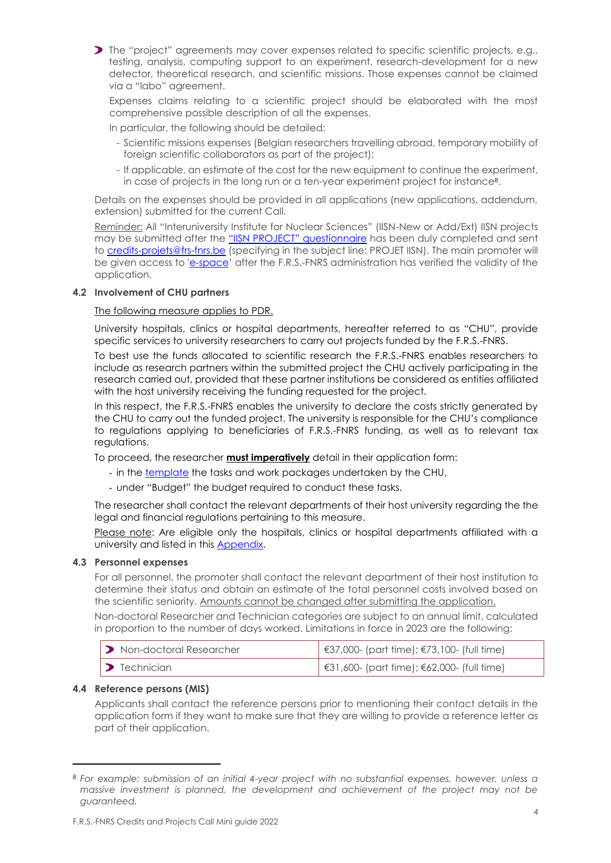

Expenses claims relating to a scientific project should be elaborated with the most comprehensive possible description of all the expenses.

In particular, the following should be detailed:

- Scientific missions expenses (Belgian researchers travelling abroad, temporary mobility of foreign scientific collaborators as part of the project);
- If applicable, an estimate of the cost for the new equipment to continue the experiment, in case of projects in the long run or a ten-year experiment project for instance<sup>8</sup> .

Details on the expenses should be provided in all applications (new applications, addendum, extension) submitted for the current Call.

Reminder: All "Interuniversity Institute for Nuclear Sciences" (IISN-New or Add/Ext) IISN projects may be submitted after the "IISN PROJECT" [questionnaire](https://www.frs-fnrs.be/docs/Reglement-et-documents/FRS-FNRS_Questionnaire_IISN.pdf) has been duly completed and sent to [credits-projets@frs-fnrs.be](mailto:credits-projets@frs-fnrs.be) (specifying in the subject line: PROJET IISN). The main promoter will be given access to ['e-space](https://e-space.frs-fnrs.be/)' after the F.R.S.-FNRS administration has verified the validity of the application.

#### **4.2 Involvement of CHU partners**

#### The following measure applies to PDR.

University hospitals, clinics or hospital departments, hereafter referred to as "CHU", provide specific services to university researchers to carry out projects funded by the F.R.S.-FNRS.

To best use the funds allocated to scientific research the F.R.S.-FNRS enables researchers to include as research partners within the submitted project the CHU actively participating in the research carried out, provided that these partner institutions be considered as entities affiliated with the host university receiving the funding requested for the project.

In this respect, the F.R.S.-FNRS enables the university to declare the costs strictly generated by the CHU to carry out the funded project. The university is responsible for the CHU's compliance to regulations applying to beneficiaries of F.R.S.-FNRS funding, as well as to relevant tax regulations.

To proceed, the researcher **must imperatively** detail in their application form:

- in th[e template](https://e-space.frs-fnrs.be/documents_publics/ressource/CHU_tasks.docx) the tasks and work packages undertaken by the CHU,
- under "Budget" the budget required to conduct these tasks.

The researcher shall contact the relevant departments of their host university regarding the the legal and financial regulations pertaining to this measure.

Please note: Are eligible only the hospitals, clinics or hospital departments affiliated with a university and listed in this [Appendix.](https://e-space.frs-fnrs.be/documents_publics/ressource/ANNEXE_CHU.pdf)

#### **4.3 Personnel expenses**

For all personnel, the promoter shall contact the relevant department of their host institution to determine their status and obtain an estimate of the total personnel costs involved based on the scientific seniority. Amounts cannot be changed after submitting the application.

Non-doctoral Researcher and Technician categories are subject to an annual limit, calculated in proportion to the number of days worked. Limitations in force in 2023 are the following:

| <b>D</b> Non-doctoral Researcher | €37,000- (part time); €73,100- (full time) |
|----------------------------------|--------------------------------------------|
| $\triangleright$ Technician      | €31,600- (part time); €62,000- (full time) |

#### **4.4 Reference persons (MIS)**

Applicants shall contact the reference persons prior to mentioning their contact details in the application form if they want to make sure that they are willing to provide a reference letter as part of their application.

<sup>8</sup> *For example: submission of an initial 4-year project with no substantial expenses, however, unless a massive investment is planned, the development and achievement of the project may not be guaranteed.*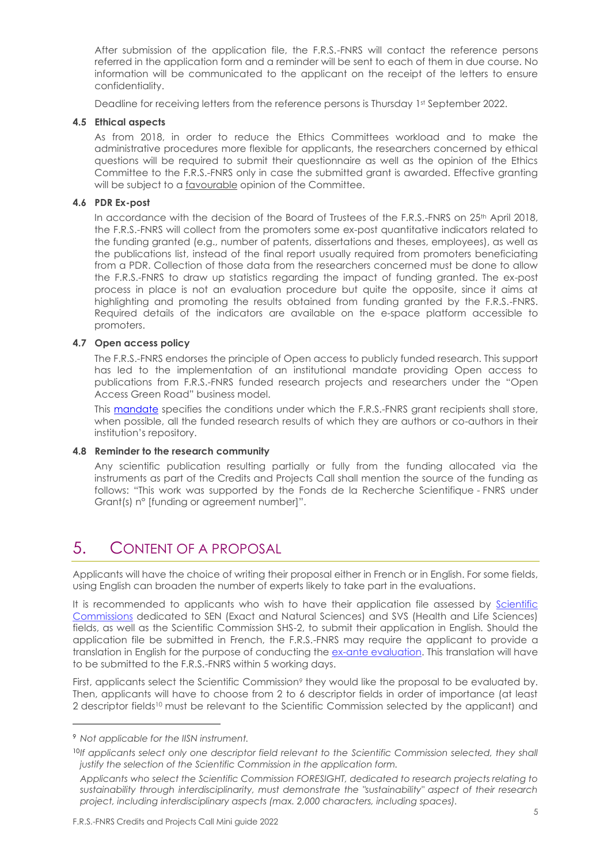After submission of the application file, the F.R.S.-FNRS will contact the reference persons referred in the application form and a reminder will be sent to each of them in due course. No information will be communicated to the applicant on the receipt of the letters to ensure confidentiality.

Deadline for receiving letters from the reference persons is Thursday 1st September 2022.

#### **4.5 Ethical aspects**

As from 2018, in order to reduce the Ethics Committees workload and to make the administrative procedures more flexible for applicants, the researchers concerned by ethical questions will be required to submit their questionnaire as well as the opinion of the Ethics Committee to the F.R.S.-FNRS only in case the submitted grant is awarded. Effective granting will be subject to a favourable opinion of the Committee.

#### **4.6 PDR Ex-post**

In accordance with the decision of the Board of Trustees of the F.R.S.-FNRS on 25<sup>th</sup> April 2018, the F.R.S.-FNRS will collect from the promoters some ex-post quantitative indicators related to the funding granted (e.g., number of patents, dissertations and theses, employees), as well as the publications list, instead of the final report usually required from promoters beneficiating from a PDR. Collection of those data from the researchers concerned must be done to allow the F.R.S.-FNRS to draw up statistics regarding the impact of funding granted. The ex-post process in place is not an evaluation procedure but quite the opposite, since it aims at highlighting and promoting the results obtained from funding granted by the F.R.S.-FNRS. Required details of the indicators are available on the e-space platform accessible to promoters.

#### **4.7 Open access policy**

The F.R.S.-FNRS endorses the principle of Open access to publicly funded research. This support has led to the implementation of an institutional mandate providing Open access to publications from F.R.S.-FNRS funded research projects and researchers under the "Open Access Green Road" business model.

This [mandate](https://www.frs-fnrs.be/docs/Reglement_OPEN_ACCESS_EN.pdf) specifies the conditions under which the F.R.S.-FNRS grant recipients shall store, when possible, all the funded research results of which they are authors or co-authors in their institution's repository.

#### **4.8 Reminder to the research community**

Any scientific publication resulting partially or fully from the funding allocated via the instruments as part of the Credits and Projects Call shall mention the source of the funding as follows: "This work was supported by the Fonds de la Recherche Scientifique - FNRS under Grant(s) n° [funding or agreement number]".

## 5. CONTENT OF A PROPOSAL

Applicants will have the choice of writing their proposal either in French or in English. For some fields, using English can broaden the number of experts likely to take part in the evaluations.

It is recommended to applicants who wish to have their application file assessed by [Scientific](https://www.frs-fnrs.be/docs/Reglement-et-documents/FRS-FNRS_Champs_descripteurs.pdf)  [Commissions](https://www.frs-fnrs.be/docs/Reglement-et-documents/FRS-FNRS_Champs_descripteurs.pdf) dedicated to SEN (Exact and Natural Sciences) and SVS (Health and Life Sciences) fields, as well as the Scientific Commission SHS-2, to submit their application in English*.* Should the application file be submitted in French, the F.R.S.-FNRS may require the applicant to provide a translation in English for the purpose of conducting the [ex-ante evaluation.](https://www.frs-fnrs.be/docs/Reglement-et-documents/FRS-FNRS_Guide_Evaluation_EN.pdf) This translation will have to be submitted to the F.R.S.-FNRS within 5 working days.

First, applicants select the Scientific Commission<sup>9</sup> they would like the proposal to be evaluated by. Then, applicants will have to choose from 2 to 6 descriptor fields in order of importance (at least 2 descriptor fields<sup>10</sup> must be relevant to the Scientific Commission selected by the applicant) and

<sup>9</sup> *Not applicable for the IISN instrument.*

<sup>&</sup>lt;sup>10</sup>If applicants select only one descriptor field relevant to the Scientific Commission selected, they shall *justify the selection of the Scientific Commission in the application form.*

*Applicants who select the Scientific Commission FORESIGHT, dedicated to research projects relating to sustainability through interdisciplinarity, must demonstrate the "sustainability" aspect of their research project, including interdisciplinary aspects (max. 2,000 characters, including spaces).*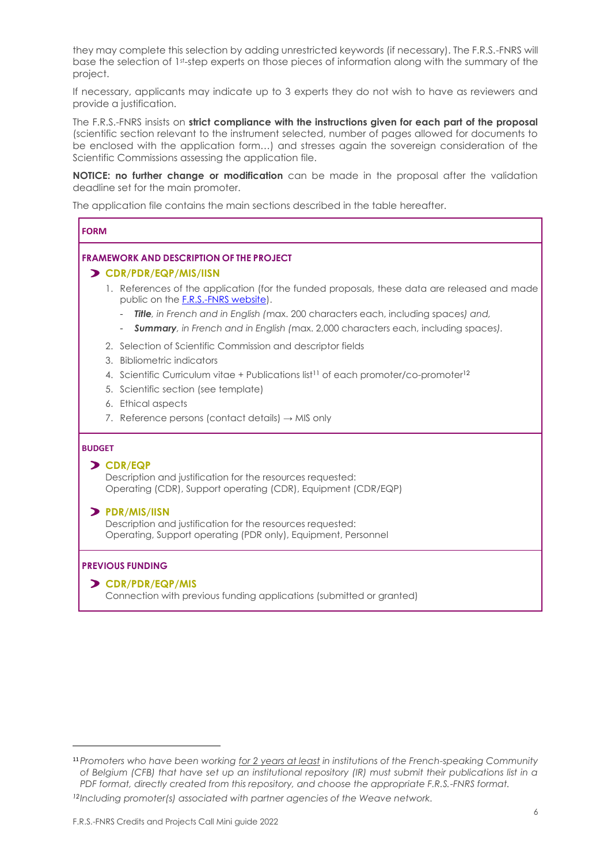they may complete this selection by adding unrestricted keywords (if necessary). The F.R.S.-FNRS will base the selection of 1st-step experts on those pieces of information along with the summary of the project.

If necessary, applicants may indicate up to 3 experts they do not wish to have as reviewers and provide a justification.

The F.R.S.-FNRS insists on **strict compliance with the instructions given for each part of the proposal** (scientific section relevant to the instrument selected, number of pages allowed for documents to be enclosed with the application form…) and stresses again the sovereign consideration of the Scientific Commissions assessing the application file.

**NOTICE: no further change or modification** can be made in the proposal after the validation deadline set for the main promoter.

The application file contains the main sections described in the table hereafter.

| <b>FORM</b>                                                                                                                                                                                                                                                                                                                                                                                                        |
|--------------------------------------------------------------------------------------------------------------------------------------------------------------------------------------------------------------------------------------------------------------------------------------------------------------------------------------------------------------------------------------------------------------------|
| <b>FRAMEWORK AND DESCRIPTION OF THE PROJECT</b><br>> CDR/PDR/EQP/MIS/IISN<br>1. References of the application (for the funded proposals, these data are released and made<br>public on the <b>F.R.S.-FNRS website</b> ).<br><b>Title</b> , in French and in English (max. 200 characters each, including spaces) and,<br><b>Summary</b> , in French and in English (max. 2,000 characters each, including spaces). |
| 2. Selection of Scientific Commission and descriptor fields<br>3. Bibliometric indicators<br>4. Scientific Curriculum vitae + Publications list <sup>11</sup> of each promoter/co-promoter <sup>12</sup><br>5. Scientific section (see template)<br>6. Ethical aspects<br>7. Reference persons (contact details) $\rightarrow$ MIS only                                                                            |
| <b>BUDGET</b><br><b>&gt; CDR/EQP</b><br>Description and justification for the resources requested:<br>Operating (CDR), Support operating (CDR), Equipment (CDR/EQP)<br>$\triangleright$ PDR/MIS/IISN<br>Description and justification for the resources requested:<br>Operating, Support operating (PDR only), Equipment, Personnel                                                                                |
| <b>PREVIOUS FUNDING</b><br>> CDR/PDR/EQP/MIS<br>Connection with previous funding applications (submitted or granted)                                                                                                                                                                                                                                                                                               |

*12Including promoter(s) associated with partner agencies of the Weave network.*

<sup>11</sup>*Promoters who have been working for 2 years at least in institutions of the French-speaking Community of Belgium (CFB) that have set up an institutional repository (IR) must submit their publications list in a PDF format, directly created from this repository, and choose the appropriate F.R.S.-FNRS format.*